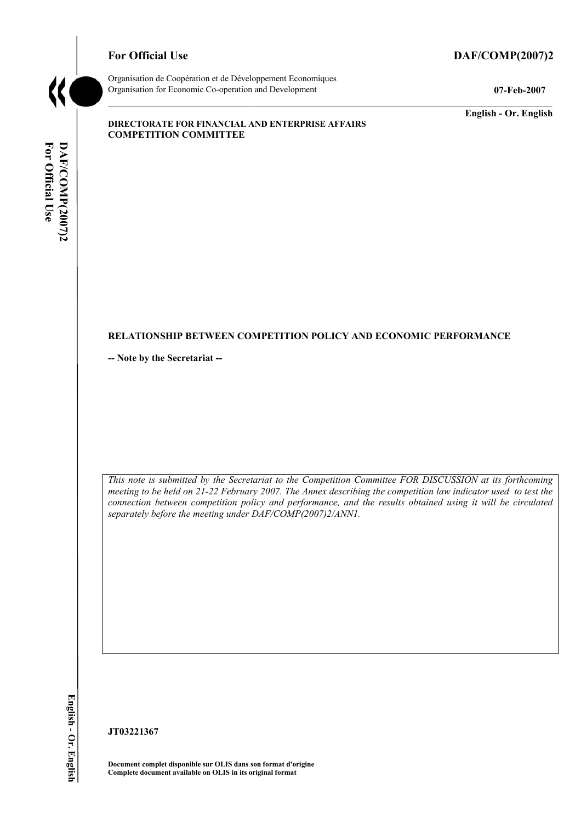# **For Official Use DAF/COMP(2007)2**



Organisation de CoopÈration et de DÈveloppement Economiques Organisation for Economic Co-operation and Development **07-Feb-2007** 

**English - Or. English** 

#### **DIRECTORATE FOR FINANCIAL AND ENTERPRISE AFFAIRS COMPETITION COMMITTEE**

# For Official Use DAF/COMP(2007)2 **For Official Use DAF/COMP(2007)2 English - Or. English**

# **RELATIONSHIP BETWEEN COMPETITION POLICY AND ECONOMIC PERFORMANCE**

**-- Note by the Secretariat --** 

*This note is submitted by the Secretariat to the Competition Committee FOR DISCUSSION at its forthcoming meeting to be held on 21-22 February 2007. The Annex describing the competition law indicator used to test the connection between competition policy and performance, and the results obtained using it will be circulated separately before the meeting under DAF/COMP(2007)2/ANN1.* 

**JT03221367** 

**Document complet disponible sur OLIS dans son format d'origine Complete document available on OLIS in its original format**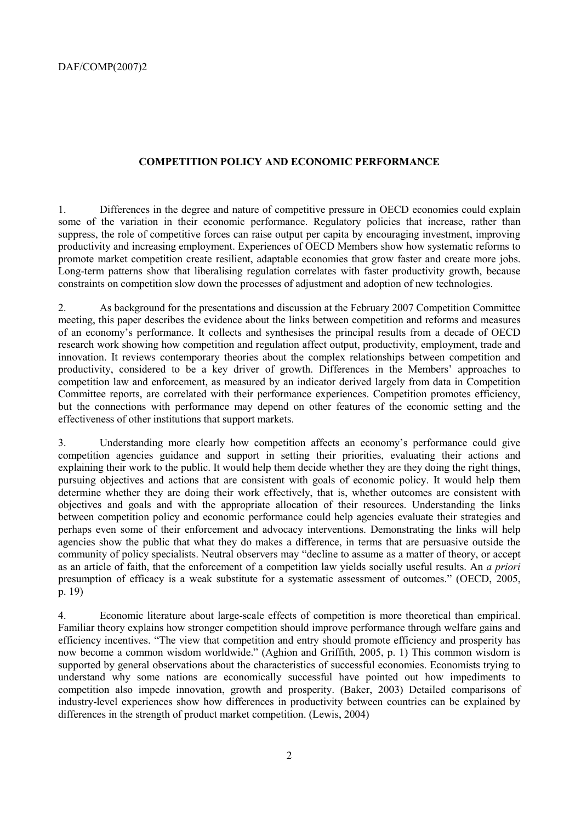# **COMPETITION POLICY AND ECONOMIC PERFORMANCE**

1. Differences in the degree and nature of competitive pressure in OECD economies could explain some of the variation in their economic performance. Regulatory policies that increase, rather than suppress, the role of competitive forces can raise output per capita by encouraging investment, improving productivity and increasing employment. Experiences of OECD Members show how systematic reforms to promote market competition create resilient, adaptable economies that grow faster and create more jobs. Long-term patterns show that liberalising regulation correlates with faster productivity growth, because constraints on competition slow down the processes of adjustment and adoption of new technologies.

2. As background for the presentations and discussion at the February 2007 Competition Committee meeting, this paper describes the evidence about the links between competition and reforms and measures of an economyís performance. It collects and synthesises the principal results from a decade of OECD research work showing how competition and regulation affect output, productivity, employment, trade and innovation. It reviews contemporary theories about the complex relationships between competition and productivity, considered to be a key driver of growth. Differences in the Members' approaches to competition law and enforcement, as measured by an indicator derived largely from data in Competition Committee reports, are correlated with their performance experiences. Competition promotes efficiency, but the connections with performance may depend on other features of the economic setting and the effectiveness of other institutions that support markets.

3. Understanding more clearly how competition affects an economyís performance could give competition agencies guidance and support in setting their priorities, evaluating their actions and explaining their work to the public. It would help them decide whether they are they doing the right things, pursuing objectives and actions that are consistent with goals of economic policy. It would help them determine whether they are doing their work effectively, that is, whether outcomes are consistent with objectives and goals and with the appropriate allocation of their resources. Understanding the links between competition policy and economic performance could help agencies evaluate their strategies and perhaps even some of their enforcement and advocacy interventions. Demonstrating the links will help agencies show the public that what they do makes a difference, in terms that are persuasive outside the community of policy specialists. Neutral observers may "decline to assume as a matter of theory, or accept as an article of faith, that the enforcement of a competition law yields socially useful results. An *a priori*  presumption of efficacy is a weak substitute for a systematic assessment of outcomes." (OECD, 2005, p. 19)

4. Economic literature about large-scale effects of competition is more theoretical than empirical. Familiar theory explains how stronger competition should improve performance through welfare gains and efficiency incentives. "The view that competition and entry should promote efficiency and prosperity has now become a common wisdom worldwide." (Aghion and Griffith, 2005, p. 1) This common wisdom is supported by general observations about the characteristics of successful economies. Economists trying to understand why some nations are economically successful have pointed out how impediments to competition also impede innovation, growth and prosperity. (Baker, 2003) Detailed comparisons of industry-level experiences show how differences in productivity between countries can be explained by differences in the strength of product market competition. (Lewis, 2004)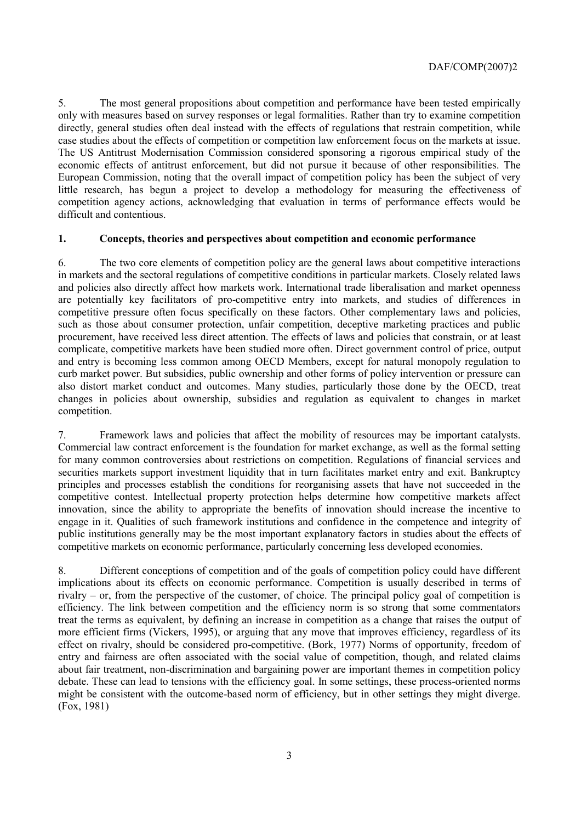5. The most general propositions about competition and performance have been tested empirically only with measures based on survey responses or legal formalities. Rather than try to examine competition directly, general studies often deal instead with the effects of regulations that restrain competition, while case studies about the effects of competition or competition law enforcement focus on the markets at issue. The US Antitrust Modernisation Commission considered sponsoring a rigorous empirical study of the economic effects of antitrust enforcement, but did not pursue it because of other responsibilities. The European Commission, noting that the overall impact of competition policy has been the subject of very little research, has begun a project to develop a methodology for measuring the effectiveness of competition agency actions, acknowledging that evaluation in terms of performance effects would be difficult and contentious.

# **1. Concepts, theories and perspectives about competition and economic performance**

6. The two core elements of competition policy are the general laws about competitive interactions in markets and the sectoral regulations of competitive conditions in particular markets. Closely related laws and policies also directly affect how markets work. International trade liberalisation and market openness are potentially key facilitators of pro-competitive entry into markets, and studies of differences in competitive pressure often focus specifically on these factors. Other complementary laws and policies, such as those about consumer protection, unfair competition, deceptive marketing practices and public procurement, have received less direct attention. The effects of laws and policies that constrain, or at least complicate, competitive markets have been studied more often. Direct government control of price, output and entry is becoming less common among OECD Members, except for natural monopoly regulation to curb market power. But subsidies, public ownership and other forms of policy intervention or pressure can also distort market conduct and outcomes. Many studies, particularly those done by the OECD, treat changes in policies about ownership, subsidies and regulation as equivalent to changes in market competition.

7. Framework laws and policies that affect the mobility of resources may be important catalysts. Commercial law contract enforcement is the foundation for market exchange, as well as the formal setting for many common controversies about restrictions on competition. Regulations of financial services and securities markets support investment liquidity that in turn facilitates market entry and exit. Bankruptcy principles and processes establish the conditions for reorganising assets that have not succeeded in the competitive contest. Intellectual property protection helps determine how competitive markets affect innovation, since the ability to appropriate the benefits of innovation should increase the incentive to engage in it. Qualities of such framework institutions and confidence in the competence and integrity of public institutions generally may be the most important explanatory factors in studies about the effects of competitive markets on economic performance, particularly concerning less developed economies.

8. Different conceptions of competition and of the goals of competition policy could have different implications about its effects on economic performance. Competition is usually described in terms of rivalry  $-$  or, from the perspective of the customer, of choice. The principal policy goal of competition is efficiency. The link between competition and the efficiency norm is so strong that some commentators treat the terms as equivalent, by defining an increase in competition as a change that raises the output of more efficient firms (Vickers, 1995), or arguing that any move that improves efficiency, regardless of its effect on rivalry, should be considered pro-competitive. (Bork, 1977) Norms of opportunity, freedom of entry and fairness are often associated with the social value of competition, though, and related claims about fair treatment, non-discrimination and bargaining power are important themes in competition policy debate. These can lead to tensions with the efficiency goal. In some settings, these process-oriented norms might be consistent with the outcome-based norm of efficiency, but in other settings they might diverge. (Fox, 1981)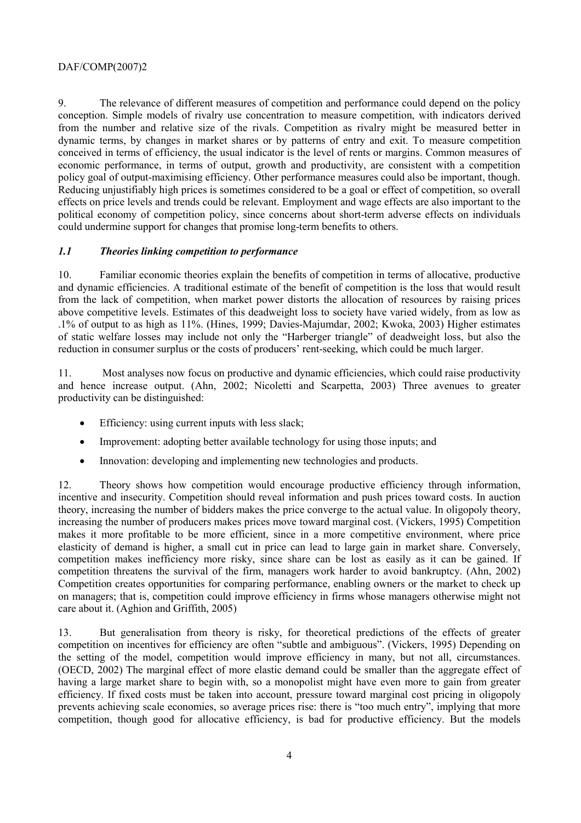9. The relevance of different measures of competition and performance could depend on the policy conception. Simple models of rivalry use concentration to measure competition, with indicators derived from the number and relative size of the rivals. Competition as rivalry might be measured better in dynamic terms, by changes in market shares or by patterns of entry and exit. To measure competition conceived in terms of efficiency, the usual indicator is the level of rents or margins. Common measures of economic performance, in terms of output, growth and productivity, are consistent with a competition policy goal of output-maximising efficiency. Other performance measures could also be important, though. Reducing unjustifiably high prices is sometimes considered to be a goal or effect of competition, so overall effects on price levels and trends could be relevant. Employment and wage effects are also important to the political economy of competition policy, since concerns about short-term adverse effects on individuals could undermine support for changes that promise long-term benefits to others.

# *1.1 Theories linking competition to performance*

10. Familiar economic theories explain the benefits of competition in terms of allocative, productive and dynamic efficiencies. A traditional estimate of the benefit of competition is the loss that would result from the lack of competition, when market power distorts the allocation of resources by raising prices above competitive levels. Estimates of this deadweight loss to society have varied widely, from as low as .1% of output to as high as 11%. (Hines, 1999; Davies-Majumdar, 2002; Kwoka, 2003) Higher estimates of static welfare losses may include not only the "Harberger triangle" of deadweight loss, but also the reduction in consumer surplus or the costs of producers' rent-seeking, which could be much larger.

11. Most analyses now focus on productive and dynamic efficiencies, which could raise productivity and hence increase output. (Ahn, 2002; Nicoletti and Scarpetta, 2003) Three avenues to greater productivity can be distinguished:

- Efficiency: using current inputs with less slack;
- Improvement: adopting better available technology for using those inputs; and
- Innovation: developing and implementing new technologies and products.

12. Theory shows how competition would encourage productive efficiency through information, incentive and insecurity. Competition should reveal information and push prices toward costs. In auction theory, increasing the number of bidders makes the price converge to the actual value. In oligopoly theory, increasing the number of producers makes prices move toward marginal cost. (Vickers, 1995) Competition makes it more profitable to be more efficient, since in a more competitive environment, where price elasticity of demand is higher, a small cut in price can lead to large gain in market share. Conversely, competition makes inefficiency more risky, since share can be lost as easily as it can be gained. If competition threatens the survival of the firm, managers work harder to avoid bankruptcy. (Ahn, 2002) Competition creates opportunities for comparing performance, enabling owners or the market to check up on managers; that is, competition could improve efficiency in firms whose managers otherwise might not care about it. (Aghion and Griffith, 2005)

13. But generalisation from theory is risky, for theoretical predictions of the effects of greater competition on incentives for efficiency are often "subtle and ambiguous". (Vickers, 1995) Depending on the setting of the model, competition would improve efficiency in many, but not all, circumstances. (OECD, 2002) The marginal effect of more elastic demand could be smaller than the aggregate effect of having a large market share to begin with, so a monopolist might have even more to gain from greater efficiency. If fixed costs must be taken into account, pressure toward marginal cost pricing in oligopoly prevents achieving scale economies, so average prices rise: there is "too much entry", implying that more competition, though good for allocative efficiency, is bad for productive efficiency. But the models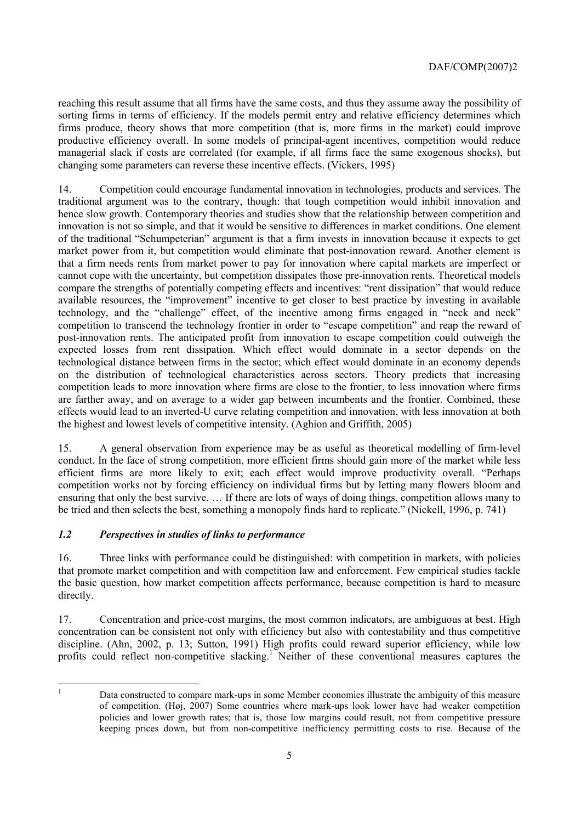reaching this result assume that all firms have the same costs, and thus they assume away the possibility of sorting firms in terms of efficiency. If the models permit entry and relative efficiency determines which firms produce, theory shows that more competition (that is, more firms in the market) could improve productive efficiency overall. In some models of principal-agent incentives, competition would reduce managerial slack if costs are correlated (for example, if all firms face the same exogenous shocks), but changing some parameters can reverse these incentive effects. (Vickers, 1995)

14. Competition could encourage fundamental innovation in technologies, products and services. The traditional argument was to the contrary, though: that tough competition would inhibit innovation and hence slow growth. Contemporary theories and studies show that the relationship between competition and innovation is not so simple, and that it would be sensitive to differences in market conditions. One element of the traditional "Schumpeterian" argument is that a firm invests in innovation because it expects to get market power from it, but competition would eliminate that post-innovation reward. Another element is that a firm needs rents from market power to pay for innovation where capital markets are imperfect or cannot cope with the uncertainty, but competition dissipates those pre-innovation rents. Theoretical models compare the strengths of potentially competing effects and incentives: "rent dissipation" that would reduce available resources, the "improvement" incentive to get closer to best practice by investing in available technology, and the "challenge" effect, of the incentive among firms engaged in "neck and neck" competition to transcend the technology frontier in order to "escape competition" and reap the reward of post-innovation rents. The anticipated profit from innovation to escape competition could outweigh the expected losses from rent dissipation. Which effect would dominate in a sector depends on the technological distance between firms in the sector; which effect would dominate in an economy depends on the distribution of technological characteristics across sectors. Theory predicts that increasing competition leads to more innovation where firms are close to the frontier, to less innovation where firms are farther away, and on average to a wider gap between incumbents and the frontier. Combined, these effects would lead to an inverted-U curve relating competition and innovation, with less innovation at both the highest and lowest levels of competitive intensity. (Aghion and Griffith, 2005)

15. A general observation from experience may be as useful as theoretical modelling of firm-level conduct. In the face of strong competition, more efficient firms should gain more of the market while less efficient firms are more likely to exit; each effect would improve productivity overall. "Perhaps competition works not by forcing efficiency on individual firms but by letting many flowers bloom and ensuring that only the best survive.  $\ldots$  If there are lots of ways of doing things, competition allows many to be tried and then selects the best, something a monopoly finds hard to replicate." (Nickell, 1996, p. 741)

# *1.2 Perspectives in studies of links to performance*

16. Three links with performance could be distinguished: with competition in markets, with policies that promote market competition and with competition law and enforcement. Few empirical studies tackle the basic question, how market competition affects performance, because competition is hard to measure directly.

17. Concentration and price-cost margins, the most common indicators, are ambiguous at best. High concentration can be consistent not only with efficiency but also with contestability and thus competitive discipline. (Ahn, 2002, p. 13; Sutton, 1991) High profits could reward superior efficiency, while low profits could reflect non-competitive slacking.<sup>1</sup> Neither of these conventional measures captures the

|<br>|<br>|

Data constructed to compare mark-ups in some Member economies illustrate the ambiguity of this measure of competition. (Høj, 2007) Some countries where mark-ups look lower have had weaker competition policies and lower growth rates; that is, those low margins could result, not from competitive pressure keeping prices down, but from non-competitive inefficiency permitting costs to rise. Because of the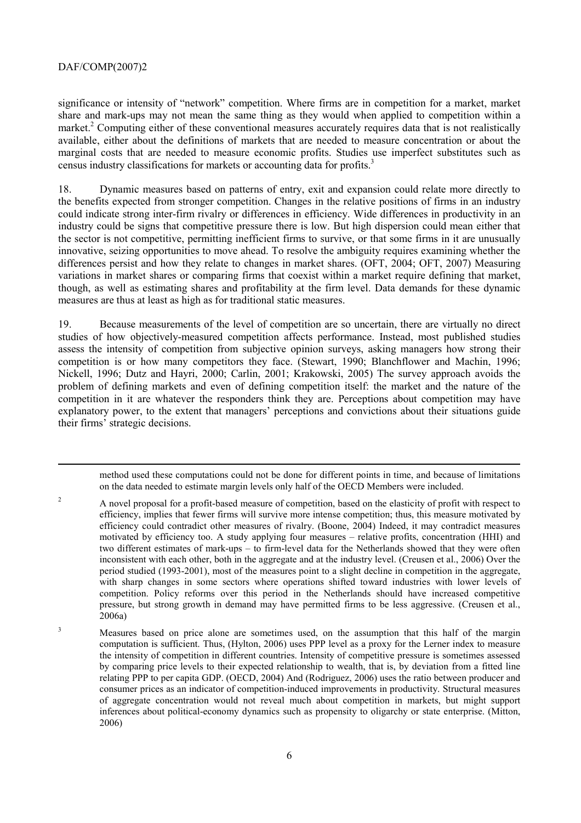-

significance or intensity of "network" competition. Where firms are in competition for a market, market share and mark-ups may not mean the same thing as they would when applied to competition within a market.<sup>2</sup> Computing either of these conventional measures accurately requires data that is not realistically available, either about the definitions of markets that are needed to measure concentration or about the marginal costs that are needed to measure economic profits. Studies use imperfect substitutes such as census industry classifications for markets or accounting data for profits.<sup>3</sup>

18. Dynamic measures based on patterns of entry, exit and expansion could relate more directly to the benefits expected from stronger competition. Changes in the relative positions of firms in an industry could indicate strong inter-firm rivalry or differences in efficiency. Wide differences in productivity in an industry could be signs that competitive pressure there is low. But high dispersion could mean either that the sector is not competitive, permitting inefficient firms to survive, or that some firms in it are unusually innovative, seizing opportunities to move ahead. To resolve the ambiguity requires examining whether the differences persist and how they relate to changes in market shares. (OFT, 2004; OFT, 2007) Measuring variations in market shares or comparing firms that coexist within a market require defining that market, though, as well as estimating shares and profitability at the firm level. Data demands for these dynamic measures are thus at least as high as for traditional static measures.

19. Because measurements of the level of competition are so uncertain, there are virtually no direct studies of how objectively-measured competition affects performance. Instead, most published studies assess the intensity of competition from subjective opinion surveys, asking managers how strong their competition is or how many competitors they face. (Stewart, 1990; Blanchflower and Machin, 1996; Nickell, 1996; Dutz and Hayri, 2000; Carlin, 2001; Krakowski, 2005) The survey approach avoids the problem of defining markets and even of defining competition itself: the market and the nature of the competition in it are whatever the responders think they are. Perceptions about competition may have explanatory power, to the extent that managers' perceptions and convictions about their situations guide their firms' strategic decisions.

method used these computations could not be done for different points in time, and because of limitations on the data needed to estimate margin levels only half of the OECD Members were included.

- 2 A novel proposal for a profit-based measure of competition, based on the elasticity of profit with respect to efficiency, implies that fewer firms will survive more intense competition; thus, this measure motivated by efficiency could contradict other measures of rivalry. (Boone, 2004) Indeed, it may contradict measures motivated by efficiency too. A study applying four measures – relative profits, concentration (HHI) and two different estimates of mark-ups – to firm-level data for the Netherlands showed that they were often inconsistent with each other, both in the aggregate and at the industry level. (Creusen et al., 2006) Over the period studied (1993-2001), most of the measures point to a slight decline in competition in the aggregate, with sharp changes in some sectors where operations shifted toward industries with lower levels of competition. Policy reforms over this period in the Netherlands should have increased competitive pressure, but strong growth in demand may have permitted firms to be less aggressive. (Creusen et al., 2006a)
- 3 Measures based on price alone are sometimes used, on the assumption that this half of the margin computation is sufficient. Thus, (Hylton, 2006) uses PPP level as a proxy for the Lerner index to measure the intensity of competition in different countries. Intensity of competitive pressure is sometimes assessed by comparing price levels to their expected relationship to wealth, that is, by deviation from a fitted line relating PPP to per capita GDP. (OECD, 2004) And (Rodriguez, 2006) uses the ratio between producer and consumer prices as an indicator of competition-induced improvements in productivity. Structural measures of aggregate concentration would not reveal much about competition in markets, but might support inferences about political-economy dynamics such as propensity to oligarchy or state enterprise. (Mitton, 2006)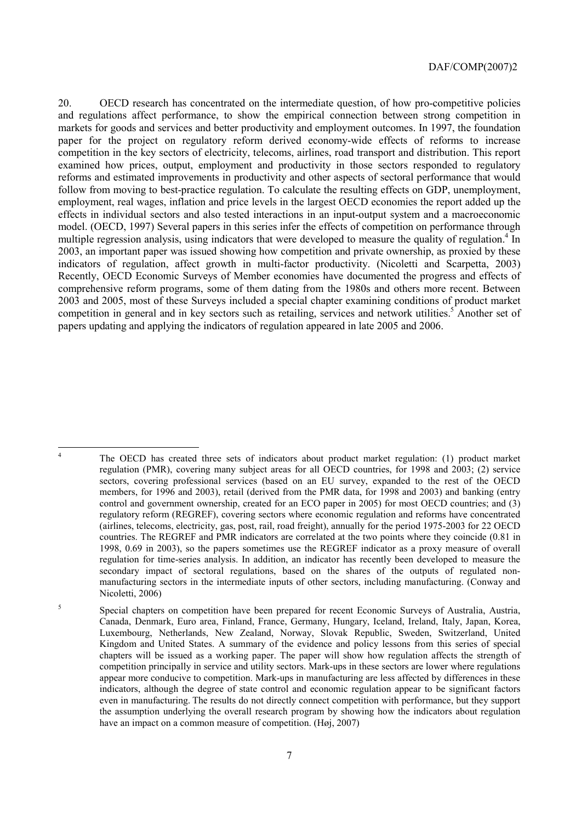20. OECD research has concentrated on the intermediate question, of how pro-competitive policies and regulations affect performance, to show the empirical connection between strong competition in markets for goods and services and better productivity and employment outcomes. In 1997, the foundation paper for the project on regulatory reform derived economy-wide effects of reforms to increase competition in the key sectors of electricity, telecoms, airlines, road transport and distribution. This report examined how prices, output, employment and productivity in those sectors responded to regulatory reforms and estimated improvements in productivity and other aspects of sectoral performance that would follow from moving to best-practice regulation. To calculate the resulting effects on GDP, unemployment, employment, real wages, inflation and price levels in the largest OECD economies the report added up the effects in individual sectors and also tested interactions in an input-output system and a macroeconomic model. (OECD, 1997) Several papers in this series infer the effects of competition on performance through multiple regression analysis, using indicators that were developed to measure the quality of regulation.<sup>4</sup> In 2003, an important paper was issued showing how competition and private ownership, as proxied by these indicators of regulation, affect growth in multi-factor productivity. (Nicoletti and Scarpetta, 2003) Recently, OECD Economic Surveys of Member economies have documented the progress and effects of comprehensive reform programs, some of them dating from the 1980s and others more recent. Between 2003 and 2005, most of these Surveys included a special chapter examining conditions of product market competition in general and in key sectors such as retailing, services and network utilities.<sup>5</sup> Another set of papers updating and applying the indicators of regulation appeared in late 2005 and 2006.

 $\frac{1}{4}$ 

The OECD has created three sets of indicators about product market regulation: (1) product market regulation (PMR), covering many subject areas for all OECD countries, for 1998 and 2003; (2) service sectors, covering professional services (based on an EU survey, expanded to the rest of the OECD members, for 1996 and 2003), retail (derived from the PMR data, for 1998 and 2003) and banking (entry control and government ownership, created for an ECO paper in 2005) for most OECD countries; and (3) regulatory reform (REGREF), covering sectors where economic regulation and reforms have concentrated (airlines, telecoms, electricity, gas, post, rail, road freight), annually for the period 1975-2003 for 22 OECD countries. The REGREF and PMR indicators are correlated at the two points where they coincide (0.81 in 1998, 0.69 in 2003), so the papers sometimes use the REGREF indicator as a proxy measure of overall regulation for time-series analysis. In addition, an indicator has recently been developed to measure the secondary impact of sectoral regulations, based on the shares of the outputs of regulated nonmanufacturing sectors in the intermediate inputs of other sectors, including manufacturing. (Conway and Nicoletti, 2006)

<sup>5</sup> Special chapters on competition have been prepared for recent Economic Surveys of Australia, Austria, Canada, Denmark, Euro area, Finland, France, Germany, Hungary, Iceland, Ireland, Italy, Japan, Korea, Luxembourg, Netherlands, New Zealand, Norway, Slovak Republic, Sweden, Switzerland, United Kingdom and United States. A summary of the evidence and policy lessons from this series of special chapters will be issued as a working paper. The paper will show how regulation affects the strength of competition principally in service and utility sectors. Mark-ups in these sectors are lower where regulations appear more conducive to competition. Mark-ups in manufacturing are less affected by differences in these indicators, although the degree of state control and economic regulation appear to be significant factors even in manufacturing. The results do not directly connect competition with performance, but they support the assumption underlying the overall research program by showing how the indicators about regulation have an impact on a common measure of competition.  $(H\omega)$ , 2007)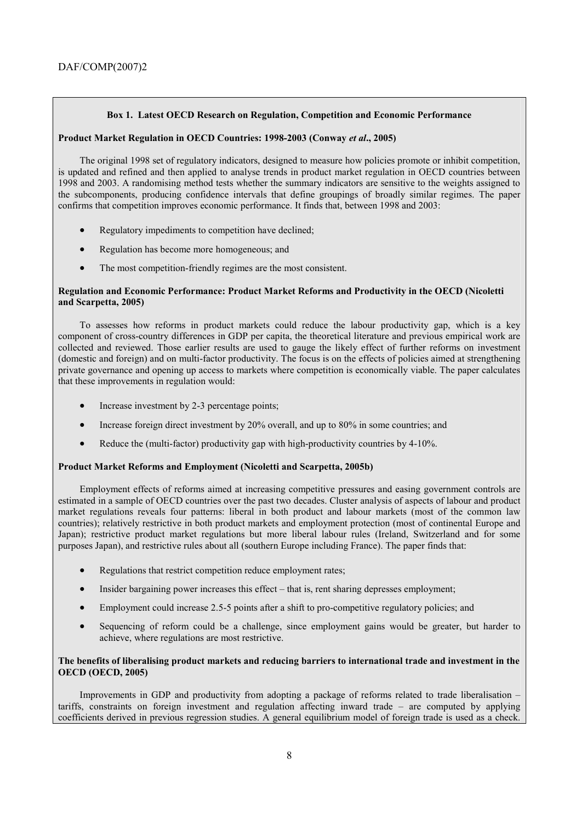#### **Box 1. Latest OECD Research on Regulation, Competition and Economic Performance**

# **Product Market Regulation in OECD Countries: 1998-2003 (Conway** *et al***., 2005)**

The original 1998 set of regulatory indicators, designed to measure how policies promote or inhibit competition, is updated and refined and then applied to analyse trends in product market regulation in OECD countries between 1998 and 2003. A randomising method tests whether the summary indicators are sensitive to the weights assigned to the subcomponents, producing confidence intervals that define groupings of broadly similar regimes. The paper confirms that competition improves economic performance. It finds that, between 1998 and 2003:

- Regulatory impediments to competition have declined;
- Regulation has become more homogeneous; and
- The most competition-friendly regimes are the most consistent.

# **Regulation and Economic Performance: Product Market Reforms and Productivity in the OECD (Nicoletti and Scarpetta, 2005)**

To assesses how reforms in product markets could reduce the labour productivity gap, which is a key component of cross-country differences in GDP per capita, the theoretical literature and previous empirical work are collected and reviewed. Those earlier results are used to gauge the likely effect of further reforms on investment (domestic and foreign) and on multi-factor productivity. The focus is on the effects of policies aimed at strengthening private governance and opening up access to markets where competition is economically viable. The paper calculates that these improvements in regulation would:

- Increase investment by 2-3 percentage points;
- Increase foreign direct investment by 20% overall, and up to 80% in some countries; and
- Reduce the (multi-factor) productivity gap with high-productivity countries by 4-10%.

# **Product Market Reforms and Employment (Nicoletti and Scarpetta, 2005b)**

Employment effects of reforms aimed at increasing competitive pressures and easing government controls are estimated in a sample of OECD countries over the past two decades. Cluster analysis of aspects of labour and product market regulations reveals four patterns: liberal in both product and labour markets (most of the common law countries); relatively restrictive in both product markets and employment protection (most of continental Europe and Japan); restrictive product market regulations but more liberal labour rules (Ireland, Switzerland and for some purposes Japan), and restrictive rules about all (southern Europe including France). The paper finds that:

- Regulations that restrict competition reduce employment rates;
- $\bullet$  Insider bargaining power increases this effect  $-$  that is, rent sharing depresses employment;
- Employment could increase 2.5-5 points after a shift to pro-competitive regulatory policies; and
- Sequencing of reform could be a challenge, since employment gains would be greater, but harder to achieve, where regulations are most restrictive.

# **The benefits of liberalising product markets and reducing barriers to international trade and investment in the OECD (OECD, 2005)**

Improvements in GDP and productivity from adopting a package of reforms related to trade liberalisation tariffs, constraints on foreign investment and regulation affecting inward trade  $-$  are computed by applying coefficients derived in previous regression studies. A general equilibrium model of foreign trade is used as a check.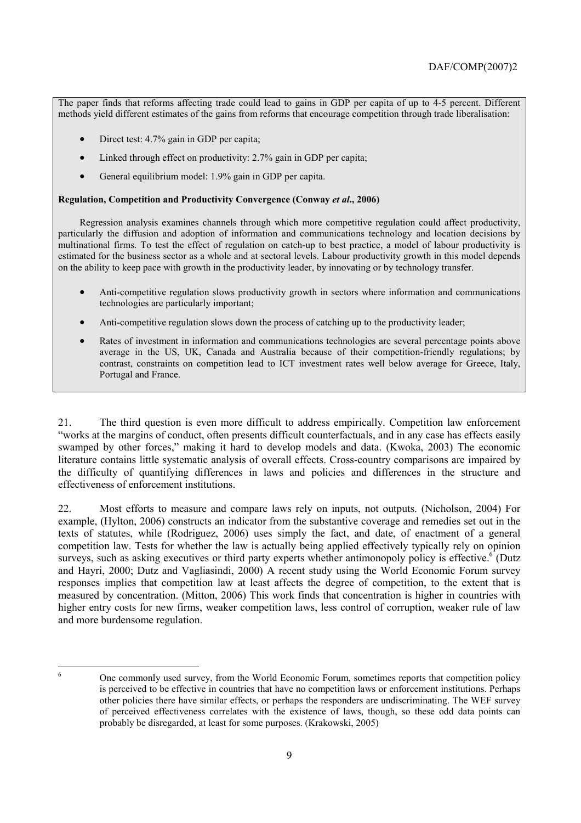The paper finds that reforms affecting trade could lead to gains in GDP per capita of up to 4-5 percent. Different methods yield different estimates of the gains from reforms that encourage competition through trade liberalisation:

- Direct test: 4.7% gain in GDP per capita;
- Linked through effect on productivity: 2.7% gain in GDP per capita;
- General equilibrium model: 1.9% gain in GDP per capita.

#### **Regulation, Competition and Productivity Convergence (Conway** *et al***., 2006)**

Regression analysis examines channels through which more competitive regulation could affect productivity, particularly the diffusion and adoption of information and communications technology and location decisions by multinational firms. To test the effect of regulation on catch-up to best practice, a model of labour productivity is estimated for the business sector as a whole and at sectoral levels. Labour productivity growth in this model depends on the ability to keep pace with growth in the productivity leader, by innovating or by technology transfer.

- Anti-competitive regulation slows productivity growth in sectors where information and communications technologies are particularly important;
- Anti-competitive regulation slows down the process of catching up to the productivity leader;
- Rates of investment in information and communications technologies are several percentage points above average in the US, UK, Canada and Australia because of their competition-friendly regulations; by contrast, constraints on competition lead to ICT investment rates well below average for Greece, Italy, Portugal and France.

21. The third question is even more difficult to address empirically. Competition law enforcement ìworks at the margins of conduct, often presents difficult counterfactuals, and in any case has effects easily swamped by other forces," making it hard to develop models and data. (Kwoka, 2003) The economic literature contains little systematic analysis of overall effects. Cross-country comparisons are impaired by the difficulty of quantifying differences in laws and policies and differences in the structure and effectiveness of enforcement institutions.

22. Most efforts to measure and compare laws rely on inputs, not outputs. (Nicholson, 2004) For example, (Hylton, 2006) constructs an indicator from the substantive coverage and remedies set out in the texts of statutes, while (Rodriguez, 2006) uses simply the fact, and date, of enactment of a general competition law. Tests for whether the law is actually being applied effectively typically rely on opinion surveys, such as asking executives or third party experts whether antimonopoly policy is effective.  $\int$  (Dutz and Hayri, 2000; Dutz and Vagliasindi, 2000) A recent study using the World Economic Forum survey responses implies that competition law at least affects the degree of competition, to the extent that is measured by concentration. (Mitton, 2006) This work finds that concentration is higher in countries with higher entry costs for new firms, weaker competition laws, less control of corruption, weaker rule of law and more burdensome regulation.

6

<sup>6</sup> One commonly used survey, from the World Economic Forum, sometimes reports that competition policy is perceived to be effective in countries that have no competition laws or enforcement institutions. Perhaps other policies there have similar effects, or perhaps the responders are undiscriminating. The WEF survey of perceived effectiveness correlates with the existence of laws, though, so these odd data points can probably be disregarded, at least for some purposes. (Krakowski, 2005)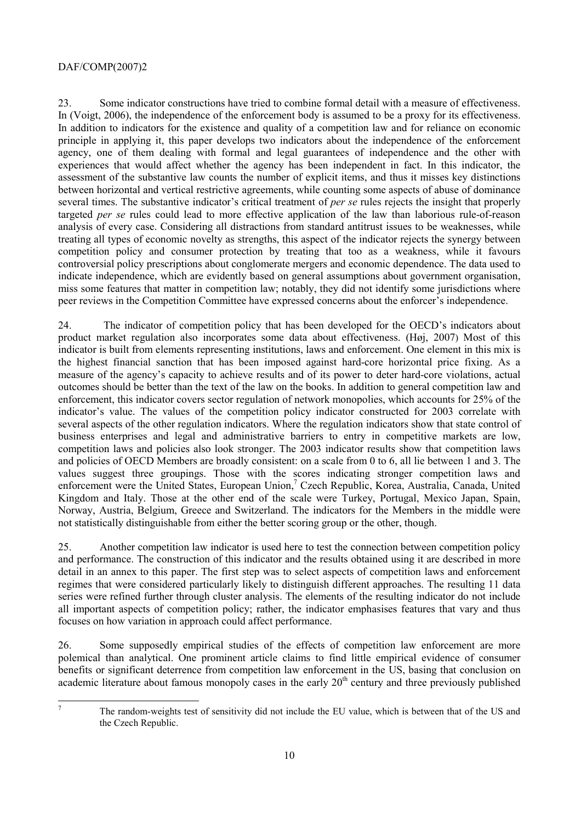23. Some indicator constructions have tried to combine formal detail with a measure of effectiveness. In (Voigt, 2006), the independence of the enforcement body is assumed to be a proxy for its effectiveness. In addition to indicators for the existence and quality of a competition law and for reliance on economic principle in applying it, this paper develops two indicators about the independence of the enforcement agency, one of them dealing with formal and legal guarantees of independence and the other with experiences that would affect whether the agency has been independent in fact. In this indicator, the assessment of the substantive law counts the number of explicit items, and thus it misses key distinctions between horizontal and vertical restrictive agreements, while counting some aspects of abuse of dominance several times. The substantive indicator's critical treatment of *per se* rules rejects the insight that properly targeted *per se* rules could lead to more effective application of the law than laborious rule-of-reason analysis of every case. Considering all distractions from standard antitrust issues to be weaknesses, while treating all types of economic novelty as strengths, this aspect of the indicator rejects the synergy between competition policy and consumer protection by treating that too as a weakness, while it favours controversial policy prescriptions about conglomerate mergers and economic dependence. The data used to indicate independence, which are evidently based on general assumptions about government organisation, miss some features that matter in competition law; notably, they did not identify some jurisdictions where peer reviews in the Competition Committee have expressed concerns about the enforcer's independence.

24. The indicator of competition policy that has been developed for the OECD's indicators about product market regulation also incorporates some data about effectiveness. (Høj, 2007) Most of this indicator is built from elements representing institutions, laws and enforcement. One element in this mix is the highest financial sanction that has been imposed against hard-core horizontal price fixing. As a measure of the agency's capacity to achieve results and of its power to deter hard-core violations, actual outcomes should be better than the text of the law on the books. In addition to general competition law and enforcement, this indicator covers sector regulation of network monopolies, which accounts for 25% of the indicator's value. The values of the competition policy indicator constructed for 2003 correlate with several aspects of the other regulation indicators. Where the regulation indicators show that state control of business enterprises and legal and administrative barriers to entry in competitive markets are low, competition laws and policies also look stronger. The 2003 indicator results show that competition laws and policies of OECD Members are broadly consistent: on a scale from 0 to 6, all lie between 1 and 3. The values suggest three groupings. Those with the scores indicating stronger competition laws and enforcement were the United States, European Union,<sup>7</sup> Czech Republic, Korea, Australia, Canada, United Kingdom and Italy. Those at the other end of the scale were Turkey, Portugal, Mexico Japan, Spain, Norway, Austria, Belgium, Greece and Switzerland. The indicators for the Members in the middle were not statistically distinguishable from either the better scoring group or the other, though.

25. Another competition law indicator is used here to test the connection between competition policy and performance. The construction of this indicator and the results obtained using it are described in more detail in an annex to this paper. The first step was to select aspects of competition laws and enforcement regimes that were considered particularly likely to distinguish different approaches. The resulting 11 data series were refined further through cluster analysis. The elements of the resulting indicator do not include all important aspects of competition policy; rather, the indicator emphasises features that vary and thus focuses on how variation in approach could affect performance.

26. Some supposedly empirical studies of the effects of competition law enforcement are more polemical than analytical. One prominent article claims to find little empirical evidence of consumer benefits or significant deterrence from competition law enforcement in the US, basing that conclusion on academic literature about famous monopoly cases in the early  $20<sup>th</sup>$  century and three previously published

 $\overline{7}$ 

The random-weights test of sensitivity did not include the EU value, which is between that of the US and the Czech Republic.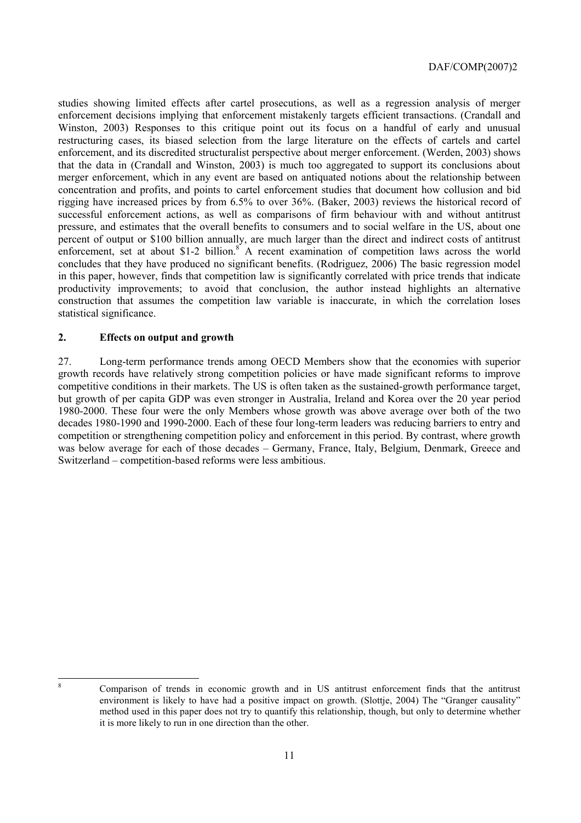studies showing limited effects after cartel prosecutions, as well as a regression analysis of merger enforcement decisions implying that enforcement mistakenly targets efficient transactions. (Crandall and Winston, 2003) Responses to this critique point out its focus on a handful of early and unusual restructuring cases, its biased selection from the large literature on the effects of cartels and cartel enforcement, and its discredited structuralist perspective about merger enforcement. (Werden, 2003) shows that the data in (Crandall and Winston, 2003) is much too aggregated to support its conclusions about merger enforcement, which in any event are based on antiquated notions about the relationship between concentration and profits, and points to cartel enforcement studies that document how collusion and bid rigging have increased prices by from 6.5% to over 36%. (Baker, 2003) reviews the historical record of successful enforcement actions, as well as comparisons of firm behaviour with and without antitrust pressure, and estimates that the overall benefits to consumers and to social welfare in the US, about one percent of output or \$100 billion annually, are much larger than the direct and indirect costs of antitrust enforcement, set at about \$1-2 billion.<sup>8</sup> A recent examination of competition laws across the world concludes that they have produced no significant benefits. (Rodriguez, 2006) The basic regression model in this paper, however, finds that competition law is significantly correlated with price trends that indicate productivity improvements; to avoid that conclusion, the author instead highlights an alternative construction that assumes the competition law variable is inaccurate, in which the correlation loses statistical significance.

# **2. Effects on output and growth**

27. Long-term performance trends among OECD Members show that the economies with superior growth records have relatively strong competition policies or have made significant reforms to improve competitive conditions in their markets. The US is often taken as the sustained-growth performance target, but growth of per capita GDP was even stronger in Australia, Ireland and Korea over the 20 year period 1980-2000. These four were the only Members whose growth was above average over both of the two decades 1980-1990 and 1990-2000. Each of these four long-term leaders was reducing barriers to entry and competition or strengthening competition policy and enforcement in this period. By contrast, where growth was below average for each of those decades – Germany, France, Italy, Belgium, Denmark, Greece and Switzerland – competition-based reforms were less ambitious.

8

<sup>8</sup> Comparison of trends in economic growth and in US antitrust enforcement finds that the antitrust environment is likely to have had a positive impact on growth. (Slottje, 2004) The "Granger causality" method used in this paper does not try to quantify this relationship, though, but only to determine whether it is more likely to run in one direction than the other.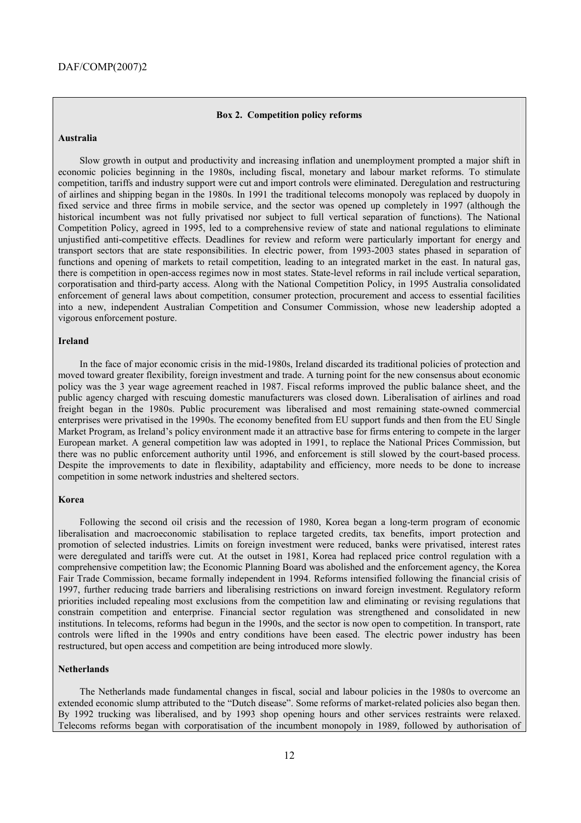#### **Box 2. Competition policy reforms**

#### **Australia**

Slow growth in output and productivity and increasing inflation and unemployment prompted a major shift in economic policies beginning in the 1980s, including fiscal, monetary and labour market reforms. To stimulate competition, tariffs and industry support were cut and import controls were eliminated. Deregulation and restructuring of airlines and shipping began in the 1980s. In 1991 the traditional telecoms monopoly was replaced by duopoly in fixed service and three firms in mobile service, and the sector was opened up completely in 1997 (although the historical incumbent was not fully privatised nor subject to full vertical separation of functions). The National Competition Policy, agreed in 1995, led to a comprehensive review of state and national regulations to eliminate unjustified anti-competitive effects. Deadlines for review and reform were particularly important for energy and transport sectors that are state responsibilities. In electric power, from 1993-2003 states phased in separation of functions and opening of markets to retail competition, leading to an integrated market in the east. In natural gas, there is competition in open-access regimes now in most states. State-level reforms in rail include vertical separation, corporatisation and third-party access. Along with the National Competition Policy, in 1995 Australia consolidated enforcement of general laws about competition, consumer protection, procurement and access to essential facilities into a new, independent Australian Competition and Consumer Commission, whose new leadership adopted a vigorous enforcement posture.

#### **Ireland**

In the face of major economic crisis in the mid-1980s, Ireland discarded its traditional policies of protection and moved toward greater flexibility, foreign investment and trade. A turning point for the new consensus about economic policy was the 3 year wage agreement reached in 1987. Fiscal reforms improved the public balance sheet, and the public agency charged with rescuing domestic manufacturers was closed down. Liberalisation of airlines and road freight began in the 1980s. Public procurement was liberalised and most remaining state-owned commercial enterprises were privatised in the 1990s. The economy benefited from EU support funds and then from the EU Single Market Program, as Ireland's policy environment made it an attractive base for firms entering to compete in the larger European market. A general competition law was adopted in 1991, to replace the National Prices Commission, but there was no public enforcement authority until 1996, and enforcement is still slowed by the court-based process. Despite the improvements to date in flexibility, adaptability and efficiency, more needs to be done to increase competition in some network industries and sheltered sectors.

#### **Korea**

Following the second oil crisis and the recession of 1980, Korea began a long-term program of economic liberalisation and macroeconomic stabilisation to replace targeted credits, tax benefits, import protection and promotion of selected industries. Limits on foreign investment were reduced, banks were privatised, interest rates were deregulated and tariffs were cut. At the outset in 1981, Korea had replaced price control regulation with a comprehensive competition law; the Economic Planning Board was abolished and the enforcement agency, the Korea Fair Trade Commission, became formally independent in 1994. Reforms intensified following the financial crisis of 1997, further reducing trade barriers and liberalising restrictions on inward foreign investment. Regulatory reform priorities included repealing most exclusions from the competition law and eliminating or revising regulations that constrain competition and enterprise. Financial sector regulation was strengthened and consolidated in new institutions. In telecoms, reforms had begun in the 1990s, and the sector is now open to competition. In transport, rate controls were lifted in the 1990s and entry conditions have been eased. The electric power industry has been restructured, but open access and competition are being introduced more slowly.

#### **Netherlands**

The Netherlands made fundamental changes in fiscal, social and labour policies in the 1980s to overcome an extended economic slump attributed to the "Dutch disease". Some reforms of market-related policies also began then. By 1992 trucking was liberalised, and by 1993 shop opening hours and other services restraints were relaxed. Telecoms reforms began with corporatisation of the incumbent monopoly in 1989, followed by authorisation of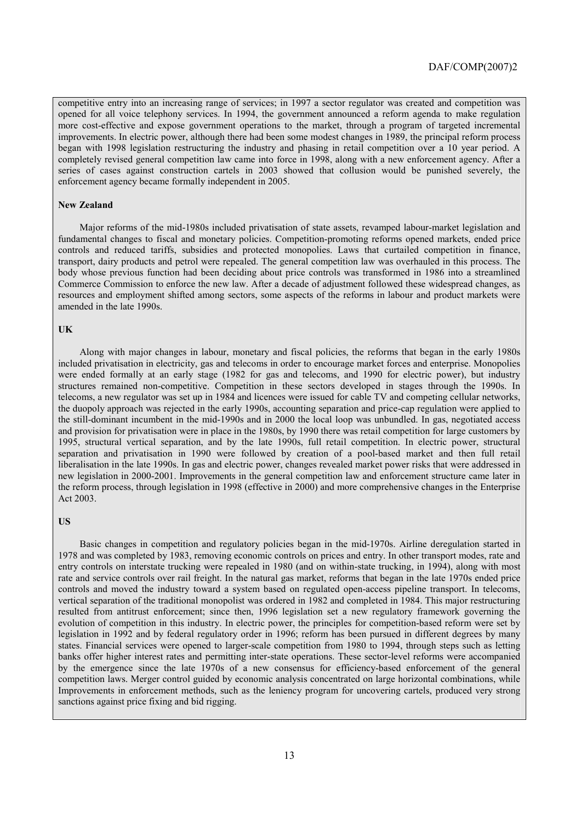competitive entry into an increasing range of services; in 1997 a sector regulator was created and competition was opened for all voice telephony services. In 1994, the government announced a reform agenda to make regulation more cost-effective and expose government operations to the market, through a program of targeted incremental improvements. In electric power, although there had been some modest changes in 1989, the principal reform process began with 1998 legislation restructuring the industry and phasing in retail competition over a 10 year period. A completely revised general competition law came into force in 1998, along with a new enforcement agency. After a series of cases against construction cartels in 2003 showed that collusion would be punished severely, the enforcement agency became formally independent in 2005.

#### **New Zealand**

Major reforms of the mid-1980s included privatisation of state assets, revamped labour-market legislation and fundamental changes to fiscal and monetary policies. Competition-promoting reforms opened markets, ended price controls and reduced tariffs, subsidies and protected monopolies. Laws that curtailed competition in finance, transport, dairy products and petrol were repealed. The general competition law was overhauled in this process. The body whose previous function had been deciding about price controls was transformed in 1986 into a streamlined Commerce Commission to enforce the new law. After a decade of adjustment followed these widespread changes, as resources and employment shifted among sectors, some aspects of the reforms in labour and product markets were amended in the late 1990s.

#### **UK**

Along with major changes in labour, monetary and fiscal policies, the reforms that began in the early 1980s included privatisation in electricity, gas and telecoms in order to encourage market forces and enterprise. Monopolies were ended formally at an early stage (1982 for gas and telecoms, and 1990 for electric power), but industry structures remained non-competitive. Competition in these sectors developed in stages through the 1990s. In telecoms, a new regulator was set up in 1984 and licences were issued for cable TV and competing cellular networks, the duopoly approach was rejected in the early 1990s, accounting separation and price-cap regulation were applied to the still-dominant incumbent in the mid-1990s and in 2000 the local loop was unbundled. In gas, negotiated access and provision for privatisation were in place in the 1980s, by 1990 there was retail competition for large customers by 1995, structural vertical separation, and by the late 1990s, full retail competition. In electric power, structural separation and privatisation in 1990 were followed by creation of a pool-based market and then full retail liberalisation in the late 1990s. In gas and electric power, changes revealed market power risks that were addressed in new legislation in 2000-2001. Improvements in the general competition law and enforcement structure came later in the reform process, through legislation in 1998 (effective in 2000) and more comprehensive changes in the Enterprise Act 2003.

#### **US**

Basic changes in competition and regulatory policies began in the mid-1970s. Airline deregulation started in 1978 and was completed by 1983, removing economic controls on prices and entry. In other transport modes, rate and entry controls on interstate trucking were repealed in 1980 (and on within-state trucking, in 1994), along with most rate and service controls over rail freight. In the natural gas market, reforms that began in the late 1970s ended price controls and moved the industry toward a system based on regulated open-access pipeline transport. In telecoms, vertical separation of the traditional monopolist was ordered in 1982 and completed in 1984. This major restructuring resulted from antitrust enforcement; since then, 1996 legislation set a new regulatory framework governing the evolution of competition in this industry. In electric power, the principles for competition-based reform were set by legislation in 1992 and by federal regulatory order in 1996; reform has been pursued in different degrees by many states. Financial services were opened to larger-scale competition from 1980 to 1994, through steps such as letting banks offer higher interest rates and permitting inter-state operations. These sector-level reforms were accompanied by the emergence since the late 1970s of a new consensus for efficiency-based enforcement of the general competition laws. Merger control guided by economic analysis concentrated on large horizontal combinations, while Improvements in enforcement methods, such as the leniency program for uncovering cartels, produced very strong sanctions against price fixing and bid rigging.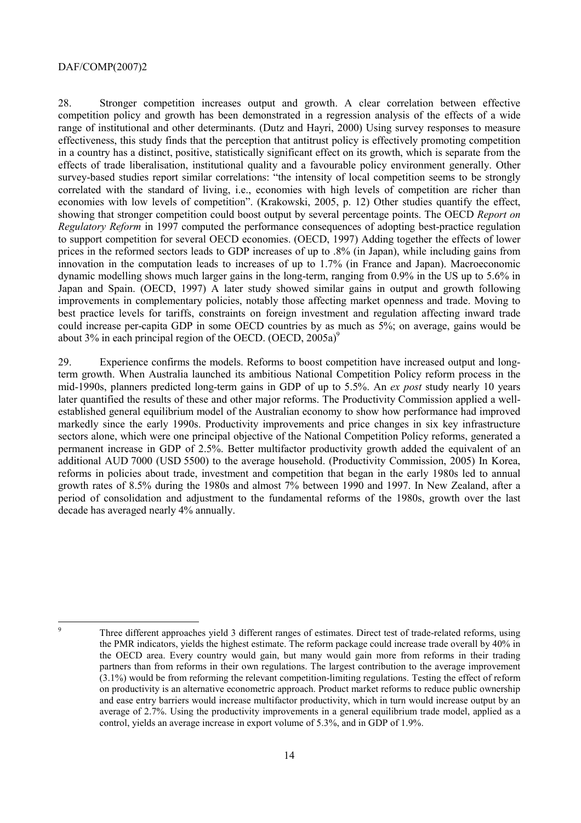28. Stronger competition increases output and growth. A clear correlation between effective competition policy and growth has been demonstrated in a regression analysis of the effects of a wide range of institutional and other determinants. (Dutz and Hayri, 2000) Using survey responses to measure effectiveness, this study finds that the perception that antitrust policy is effectively promoting competition in a country has a distinct, positive, statistically significant effect on its growth, which is separate from the effects of trade liberalisation, institutional quality and a favourable policy environment generally. Other survey-based studies report similar correlations: "the intensity of local competition seems to be strongly correlated with the standard of living, i.e., economies with high levels of competition are richer than economies with low levels of competition". (Krakowski, 2005, p. 12) Other studies quantify the effect, showing that stronger competition could boost output by several percentage points. The OECD *Report on Regulatory Reform* in 1997 computed the performance consequences of adopting best-practice regulation to support competition for several OECD economies. (OECD, 1997) Adding together the effects of lower prices in the reformed sectors leads to GDP increases of up to .8% (in Japan), while including gains from innovation in the computation leads to increases of up to 1.7% (in France and Japan). Macroeconomic dynamic modelling shows much larger gains in the long-term, ranging from 0.9% in the US up to 5.6% in Japan and Spain. (OECD, 1997) A later study showed similar gains in output and growth following improvements in complementary policies, notably those affecting market openness and trade. Moving to best practice levels for tariffs, constraints on foreign investment and regulation affecting inward trade could increase per-capita GDP in some OECD countries by as much as 5%; on average, gains would be about 3% in each principal region of the OECD. (OECD,  $2005a$ )<sup>9</sup>

29. Experience confirms the models. Reforms to boost competition have increased output and longterm growth. When Australia launched its ambitious National Competition Policy reform process in the mid-1990s, planners predicted long-term gains in GDP of up to 5.5%. An *ex post* study nearly 10 years later quantified the results of these and other major reforms. The Productivity Commission applied a wellestablished general equilibrium model of the Australian economy to show how performance had improved markedly since the early 1990s. Productivity improvements and price changes in six key infrastructure sectors alone, which were one principal objective of the National Competition Policy reforms, generated a permanent increase in GDP of 2.5%. Better multifactor productivity growth added the equivalent of an additional AUD 7000 (USD 5500) to the average household. (Productivity Commission, 2005) In Korea, reforms in policies about trade, investment and competition that began in the early 1980s led to annual growth rates of 8.5% during the 1980s and almost 7% between 1990 and 1997. In New Zealand, after a period of consolidation and adjustment to the fundamental reforms of the 1980s, growth over the last decade has averaged nearly 4% annually.

<sup>9</sup>

Three different approaches yield 3 different ranges of estimates. Direct test of trade-related reforms, using the PMR indicators, yields the highest estimate. The reform package could increase trade overall by 40% in the OECD area. Every country would gain, but many would gain more from reforms in their trading partners than from reforms in their own regulations. The largest contribution to the average improvement (3.1%) would be from reforming the relevant competition-limiting regulations. Testing the effect of reform on productivity is an alternative econometric approach. Product market reforms to reduce public ownership and ease entry barriers would increase multifactor productivity, which in turn would increase output by an average of 2.7%. Using the productivity improvements in a general equilibrium trade model, applied as a control, yields an average increase in export volume of 5.3%, and in GDP of 1.9%.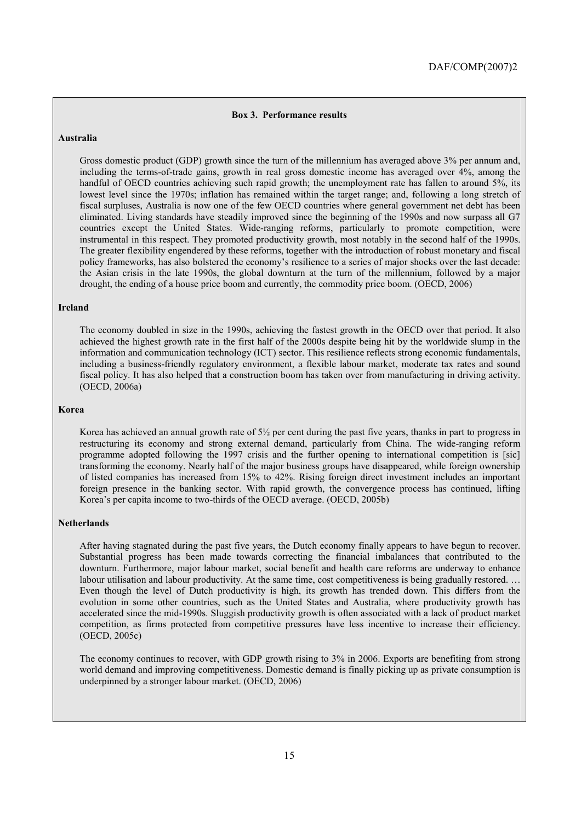#### **Box 3. Performance results**

# **Australia**

Gross domestic product (GDP) growth since the turn of the millennium has averaged above 3% per annum and, including the terms-of-trade gains, growth in real gross domestic income has averaged over 4%, among the handful of OECD countries achieving such rapid growth; the unemployment rate has fallen to around 5%, its lowest level since the 1970s; inflation has remained within the target range; and, following a long stretch of fiscal surpluses, Australia is now one of the few OECD countries where general government net debt has been eliminated. Living standards have steadily improved since the beginning of the 1990s and now surpass all G7 countries except the United States. Wide-ranging reforms, particularly to promote competition, were instrumental in this respect. They promoted productivity growth, most notably in the second half of the 1990s. The greater flexibility engendered by these reforms, together with the introduction of robust monetary and fiscal policy frameworks, has also bolstered the economy's resilience to a series of major shocks over the last decade: the Asian crisis in the late 1990s, the global downturn at the turn of the millennium, followed by a major drought, the ending of a house price boom and currently, the commodity price boom. (OECD, 2006)

#### **Ireland**

The economy doubled in size in the 1990s, achieving the fastest growth in the OECD over that period. It also achieved the highest growth rate in the first half of the 2000s despite being hit by the worldwide slump in the information and communication technology (ICT) sector. This resilience reflects strong economic fundamentals, including a business-friendly regulatory environment, a flexible labour market, moderate tax rates and sound fiscal policy. It has also helped that a construction boom has taken over from manufacturing in driving activity. (OECD, 2006a)

#### **Korea**

Korea has achieved an annual growth rate of 5½ per cent during the past five years, thanks in part to progress in restructuring its economy and strong external demand, particularly from China. The wide-ranging reform programme adopted following the 1997 crisis and the further opening to international competition is [sic] transforming the economy. Nearly half of the major business groups have disappeared, while foreign ownership of listed companies has increased from 15% to 42%. Rising foreign direct investment includes an important foreign presence in the banking sector. With rapid growth, the convergence process has continued, lifting Korea's per capita income to two-thirds of the OECD average. (OECD, 2005b)

#### **Netherlands**

After having stagnated during the past five years, the Dutch economy finally appears to have begun to recover. Substantial progress has been made towards correcting the financial imbalances that contributed to the downturn. Furthermore, major labour market, social benefit and health care reforms are underway to enhance labour utilisation and labour productivity. At the same time, cost competitiveness is being gradually restored. ... Even though the level of Dutch productivity is high, its growth has trended down. This differs from the evolution in some other countries, such as the United States and Australia, where productivity growth has accelerated since the mid-1990s. Sluggish productivity growth is often associated with a lack of product market competition, as firms protected from competitive pressures have less incentive to increase their efficiency. (OECD, 2005c)

The economy continues to recover, with GDP growth rising to 3% in 2006. Exports are benefiting from strong world demand and improving competitiveness. Domestic demand is finally picking up as private consumption is underpinned by a stronger labour market. (OECD, 2006)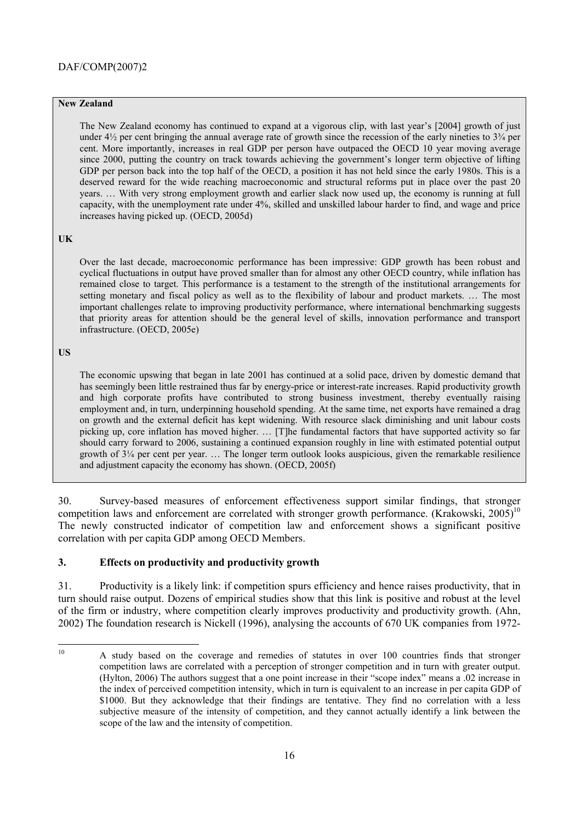# **New Zealand**

The New Zealand economy has continued to expand at a vigorous clip, with last year's [2004] growth of just under  $4\frac{1}{2}$  per cent bringing the annual average rate of growth since the recession of the early nineties to  $3\frac{3}{4}$  per cent. More importantly, increases in real GDP per person have outpaced the OECD 10 year moving average since 2000, putting the country on track towards achieving the government's longer term objective of lifting GDP per person back into the top half of the OECD, a position it has not held since the early 1980s. This is a deserved reward for the wide reaching macroeconomic and structural reforms put in place over the past 20 years. ... With very strong employment growth and earlier slack now used up, the economy is running at full capacity, with the unemployment rate under 4%, skilled and unskilled labour harder to find, and wage and price increases having picked up. (OECD, 2005d)

#### **UK**

Over the last decade, macroeconomic performance has been impressive: GDP growth has been robust and cyclical fluctuations in output have proved smaller than for almost any other OECD country, while inflation has remained close to target. This performance is a testament to the strength of the institutional arrangements for setting monetary and fiscal policy as well as to the flexibility of labour and product markets.  $\ldots$  The most important challenges relate to improving productivity performance, where international benchmarking suggests that priority areas for attention should be the general level of skills, innovation performance and transport infrastructure. (OECD, 2005e)

#### **US**

The economic upswing that began in late 2001 has continued at a solid pace, driven by domestic demand that has seemingly been little restrained thus far by energy-price or interest-rate increases. Rapid productivity growth and high corporate profits have contributed to strong business investment, thereby eventually raising employment and, in turn, underpinning household spending. At the same time, net exports have remained a drag on growth and the external deficit has kept widening. With resource slack diminishing and unit labour costs picking up, core inflation has moved higher. ... [T]he fundamental factors that have supported activity so far should carry forward to 2006, sustaining a continued expansion roughly in line with estimated potential output growth of  $3\frac{1}{4}$  per cent per year.  $\dots$  The longer term outlook looks auspicious, given the remarkable resilience and adjustment capacity the economy has shown. (OECD, 2005f)

30. Survey-based measures of enforcement effectiveness support similar findings, that stronger competition laws and enforcement are correlated with stronger growth performance. (Krakowski, 2005)<sup>10</sup> The newly constructed indicator of competition law and enforcement shows a significant positive correlation with per capita GDP among OECD Members.

# **3. Effects on productivity and productivity growth**

31. Productivity is a likely link: if competition spurs efficiency and hence raises productivity, that in turn should raise output. Dozens of empirical studies show that this link is positive and robust at the level of the firm or industry, where competition clearly improves productivity and productivity growth. (Ahn, 2002) The foundation research is Nickell (1996), analysing the accounts of 670 UK companies from 1972-

 $10<sup>10</sup>$ 10 A study based on the coverage and remedies of statutes in over 100 countries finds that stronger competition laws are correlated with a perception of stronger competition and in turn with greater output. (Hylton, 2006) The authors suggest that a one point increase in their "scope index" means a .02 increase in the index of perceived competition intensity, which in turn is equivalent to an increase in per capita GDP of \$1000. But they acknowledge that their findings are tentative. They find no correlation with a less subjective measure of the intensity of competition, and they cannot actually identify a link between the scope of the law and the intensity of competition.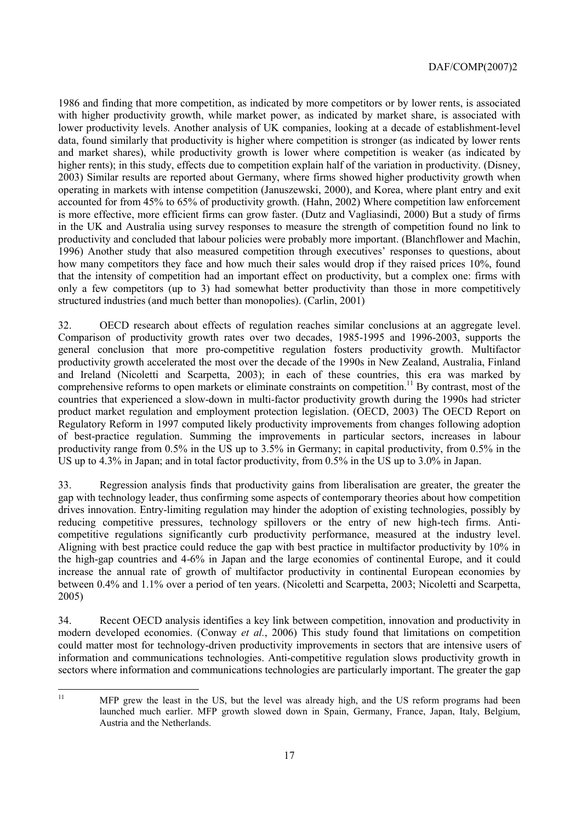1986 and finding that more competition, as indicated by more competitors or by lower rents, is associated with higher productivity growth, while market power, as indicated by market share, is associated with lower productivity levels. Another analysis of UK companies, looking at a decade of establishment-level data, found similarly that productivity is higher where competition is stronger (as indicated by lower rents and market shares), while productivity growth is lower where competition is weaker (as indicated by higher rents); in this study, effects due to competition explain half of the variation in productivity. (Disney, 2003) Similar results are reported about Germany, where firms showed higher productivity growth when operating in markets with intense competition (Januszewski, 2000), and Korea, where plant entry and exit accounted for from 45% to 65% of productivity growth. (Hahn, 2002) Where competition law enforcement is more effective, more efficient firms can grow faster. (Dutz and Vagliasindi, 2000) But a study of firms in the UK and Australia using survey responses to measure the strength of competition found no link to productivity and concluded that labour policies were probably more important. (Blanchflower and Machin, 1996) Another study that also measured competition through executives' responses to questions, about how many competitors they face and how much their sales would drop if they raised prices 10%, found that the intensity of competition had an important effect on productivity, but a complex one: firms with only a few competitors (up to 3) had somewhat better productivity than those in more competitively structured industries (and much better than monopolies). (Carlin, 2001)

32. OECD research about effects of regulation reaches similar conclusions at an aggregate level. Comparison of productivity growth rates over two decades, 1985-1995 and 1996-2003, supports the general conclusion that more pro-competitive regulation fosters productivity growth. Multifactor productivity growth accelerated the most over the decade of the 1990s in New Zealand, Australia, Finland and Ireland (Nicoletti and Scarpetta, 2003); in each of these countries, this era was marked by comprehensive reforms to open markets or eliminate constraints on competition.<sup>11</sup> By contrast, most of the countries that experienced a slow-down in multi-factor productivity growth during the 1990s had stricter product market regulation and employment protection legislation. (OECD, 2003) The OECD Report on Regulatory Reform in 1997 computed likely productivity improvements from changes following adoption of best-practice regulation. Summing the improvements in particular sectors, increases in labour productivity range from 0.5% in the US up to 3.5% in Germany; in capital productivity, from 0.5% in the US up to 4.3% in Japan; and in total factor productivity, from 0.5% in the US up to 3.0% in Japan.

33. Regression analysis finds that productivity gains from liberalisation are greater, the greater the gap with technology leader, thus confirming some aspects of contemporary theories about how competition drives innovation. Entry-limiting regulation may hinder the adoption of existing technologies, possibly by reducing competitive pressures, technology spillovers or the entry of new high-tech firms. Anticompetitive regulations significantly curb productivity performance, measured at the industry level. Aligning with best practice could reduce the gap with best practice in multifactor productivity by 10% in the high-gap countries and 4-6% in Japan and the large economies of continental Europe, and it could increase the annual rate of growth of multifactor productivity in continental European economies by between 0.4% and 1.1% over a period of ten years. (Nicoletti and Scarpetta, 2003; Nicoletti and Scarpetta, 2005)

34. Recent OECD analysis identifies a key link between competition, innovation and productivity in modern developed economies. (Conway *et al.*, 2006) This study found that limitations on competition could matter most for technology-driven productivity improvements in sectors that are intensive users of information and communications technologies. Anti-competitive regulation slows productivity growth in sectors where information and communications technologies are particularly important. The greater the gap

 $11$ 

MFP grew the least in the US, but the level was already high, and the US reform programs had been launched much earlier. MFP growth slowed down in Spain, Germany, France, Japan, Italy, Belgium, Austria and the Netherlands.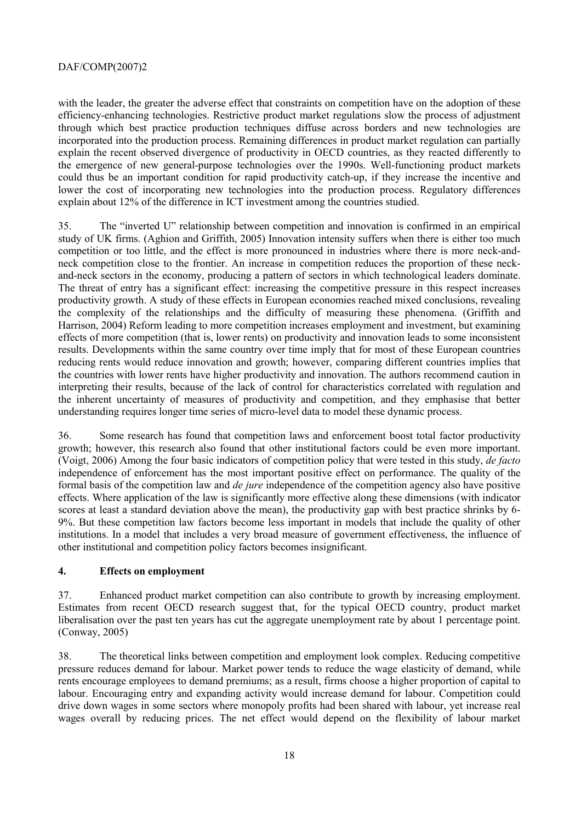with the leader, the greater the adverse effect that constraints on competition have on the adoption of these efficiency-enhancing technologies. Restrictive product market regulations slow the process of adjustment through which best practice production techniques diffuse across borders and new technologies are incorporated into the production process. Remaining differences in product market regulation can partially explain the recent observed divergence of productivity in OECD countries, as they reacted differently to the emergence of new general-purpose technologies over the 1990s. Well-functioning product markets could thus be an important condition for rapid productivity catch-up, if they increase the incentive and lower the cost of incorporating new technologies into the production process. Regulatory differences explain about 12% of the difference in ICT investment among the countries studied.

35. The "inverted U" relationship between competition and innovation is confirmed in an empirical study of UK firms. (Aghion and Griffith, 2005) Innovation intensity suffers when there is either too much competition or too little, and the effect is more pronounced in industries where there is more neck-andneck competition close to the frontier. An increase in competition reduces the proportion of these neckand-neck sectors in the economy, producing a pattern of sectors in which technological leaders dominate. The threat of entry has a significant effect: increasing the competitive pressure in this respect increases productivity growth. A study of these effects in European economies reached mixed conclusions, revealing the complexity of the relationships and the difficulty of measuring these phenomena. (Griffith and Harrison, 2004) Reform leading to more competition increases employment and investment, but examining effects of more competition (that is, lower rents) on productivity and innovation leads to some inconsistent results. Developments within the same country over time imply that for most of these European countries reducing rents would reduce innovation and growth; however, comparing different countries implies that the countries with lower rents have higher productivity and innovation. The authors recommend caution in interpreting their results, because of the lack of control for characteristics correlated with regulation and the inherent uncertainty of measures of productivity and competition, and they emphasise that better understanding requires longer time series of micro-level data to model these dynamic process.

36. Some research has found that competition laws and enforcement boost total factor productivity growth; however, this research also found that other institutional factors could be even more important. (Voigt, 2006) Among the four basic indicators of competition policy that were tested in this study, *de facto* independence of enforcement has the most important positive effect on performance. The quality of the formal basis of the competition law and *de jure* independence of the competition agency also have positive effects. Where application of the law is significantly more effective along these dimensions (with indicator scores at least a standard deviation above the mean), the productivity gap with best practice shrinks by 6- 9%. But these competition law factors become less important in models that include the quality of other institutions. In a model that includes a very broad measure of government effectiveness, the influence of other institutional and competition policy factors becomes insignificant.

# **4. Effects on employment**

37. Enhanced product market competition can also contribute to growth by increasing employment. Estimates from recent OECD research suggest that, for the typical OECD country, product market liberalisation over the past ten years has cut the aggregate unemployment rate by about 1 percentage point. (Conway, 2005)

38. The theoretical links between competition and employment look complex. Reducing competitive pressure reduces demand for labour. Market power tends to reduce the wage elasticity of demand, while rents encourage employees to demand premiums; as a result, firms choose a higher proportion of capital to labour. Encouraging entry and expanding activity would increase demand for labour. Competition could drive down wages in some sectors where monopoly profits had been shared with labour, yet increase real wages overall by reducing prices. The net effect would depend on the flexibility of labour market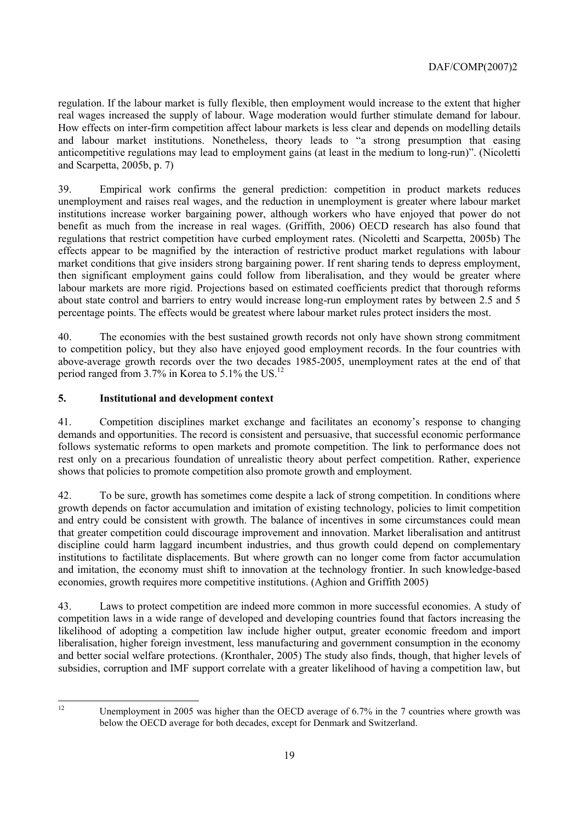regulation. If the labour market is fully flexible, then employment would increase to the extent that higher real wages increased the supply of labour. Wage moderation would further stimulate demand for labour. How effects on inter-firm competition affect labour markets is less clear and depends on modelling details and labour market institutions. Nonetheless, theory leads to "a strong presumption that easing anticompetitive regulations may lead to employment gains (at least in the medium to long-run)". (Nicoletti and Scarpetta, 2005b, p. 7)

39. Empirical work confirms the general prediction: competition in product markets reduces unemployment and raises real wages, and the reduction in unemployment is greater where labour market institutions increase worker bargaining power, although workers who have enjoyed that power do not benefit as much from the increase in real wages. (Griffith, 2006) OECD research has also found that regulations that restrict competition have curbed employment rates. (Nicoletti and Scarpetta, 2005b) The effects appear to be magnified by the interaction of restrictive product market regulations with labour market conditions that give insiders strong bargaining power. If rent sharing tends to depress employment, then significant employment gains could follow from liberalisation, and they would be greater where labour markets are more rigid. Projections based on estimated coefficients predict that thorough reforms about state control and barriers to entry would increase long-run employment rates by between 2.5 and 5 percentage points. The effects would be greatest where labour market rules protect insiders the most.

40. The economies with the best sustained growth records not only have shown strong commitment to competition policy, but they also have enjoyed good employment records. In the four countries with above-average growth records over the two decades 1985-2005, unemployment rates at the end of that period ranged from 3.7% in Korea to 5.1% the US.12

# **5. Institutional and development context**

41. Competition disciplines market exchange and facilitates an economyís response to changing demands and opportunities. The record is consistent and persuasive, that successful economic performance follows systematic reforms to open markets and promote competition. The link to performance does not rest only on a precarious foundation of unrealistic theory about perfect competition. Rather, experience shows that policies to promote competition also promote growth and employment.

42. To be sure, growth has sometimes come despite a lack of strong competition. In conditions where growth depends on factor accumulation and imitation of existing technology, policies to limit competition and entry could be consistent with growth. The balance of incentives in some circumstances could mean that greater competition could discourage improvement and innovation. Market liberalisation and antitrust discipline could harm laggard incumbent industries, and thus growth could depend on complementary institutions to factilitate displacements. But where growth can no longer come from factor accumulation and imitation, the economy must shift to innovation at the technology frontier. In such knowledge-based economies, growth requires more competitive institutions. (Aghion and Griffith 2005)

43. Laws to protect competition are indeed more common in more successful economies. A study of competition laws in a wide range of developed and developing countries found that factors increasing the likelihood of adopting a competition law include higher output, greater economic freedom and import liberalisation, higher foreign investment, less manufacturing and government consumption in the economy and better social welfare protections. (Kronthaler, 2005) The study also finds, though, that higher levels of subsidies, corruption and IMF support correlate with a greater likelihood of having a competition law, but

 $12$ 

Unemployment in 2005 was higher than the OECD average of 6.7% in the 7 countries where growth was below the OECD average for both decades, except for Denmark and Switzerland.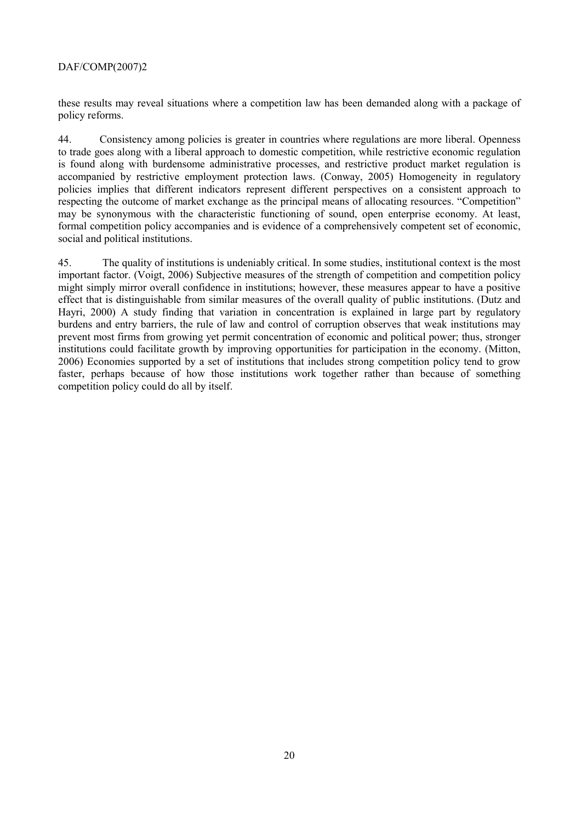these results may reveal situations where a competition law has been demanded along with a package of policy reforms.

44. Consistency among policies is greater in countries where regulations are more liberal. Openness to trade goes along with a liberal approach to domestic competition, while restrictive economic regulation is found along with burdensome administrative processes, and restrictive product market regulation is accompanied by restrictive employment protection laws. (Conway, 2005) Homogeneity in regulatory policies implies that different indicators represent different perspectives on a consistent approach to respecting the outcome of market exchange as the principal means of allocating resources. "Competition" may be synonymous with the characteristic functioning of sound, open enterprise economy. At least, formal competition policy accompanies and is evidence of a comprehensively competent set of economic, social and political institutions.

45. The quality of institutions is undeniably critical. In some studies, institutional context is the most important factor. (Voigt, 2006) Subjective measures of the strength of competition and competition policy might simply mirror overall confidence in institutions; however, these measures appear to have a positive effect that is distinguishable from similar measures of the overall quality of public institutions. (Dutz and Hayri, 2000) A study finding that variation in concentration is explained in large part by regulatory burdens and entry barriers, the rule of law and control of corruption observes that weak institutions may prevent most firms from growing yet permit concentration of economic and political power; thus, stronger institutions could facilitate growth by improving opportunities for participation in the economy. (Mitton, 2006) Economies supported by a set of institutions that includes strong competition policy tend to grow faster, perhaps because of how those institutions work together rather than because of something competition policy could do all by itself.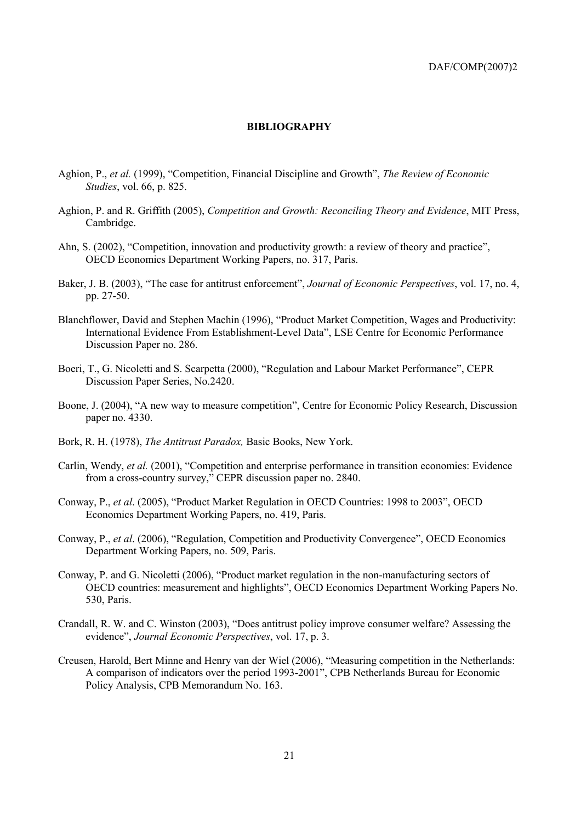### **BIBLIOGRAPHY**

- Aghion, P., et al. (1999), "Competition, Financial Discipline and Growth", The Review of Economic *Studies, vol.* 66, p. 825.
- Aghion, P. and R. Griffith (2005), Competition and Growth: Reconciling Theory and Evidence, MIT Press, Cambridge.
- Ahn, S. (2002), "Competition, innovation and productivity growth: a review of theory and practice". OECD Economics Department Working Papers, no. 317, Paris.
- Baker, J. B. (2003). "The case for antitrust enforcement", Journal of Economic Perspectives, vol. 17, no. 4, pp. 27-50.
- Blanchflower, David and Stephen Machin (1996), "Product Market Competition, Wages and Productivity: International Evidence From Establishment-Level Data". LSE Centre for Economic Performance Discussion Paper no. 286.
- Boeri, T., G. Nicoletti and S. Scarpetta (2000), "Regulation and Labour Market Performance", CEPR Discussion Paper Series, No.2420.
- Boone, J. (2004), "A new way to measure competition", Centre for Economic Policy Research, Discussion paper no. 4330.
- Bork, R. H. (1978), The Antitrust Paradox, Basic Books, New York.
- Carlin, Wendy, et al. (2001), "Competition and enterprise performance in transition economies: Evidence from a cross-country survey," CEPR discussion paper no. 2840.
- Conway, P., et al. (2005), "Product Market Regulation in OECD Countries: 1998 to 2003", OECD Economics Department Working Papers, no. 419, Paris.
- Conway, P., et al. (2006), "Regulation, Competition and Productivity Convergence", OECD Economics Department Working Papers, no. 509, Paris.
- Conway, P. and G. Nicoletti (2006), "Product market regulation in the non-manufacturing sectors of OECD countries: measurement and highlights", OECD Economics Department Working Papers No. 530. Paris.
- Crandall, R. W. and C. Winston (2003), "Does antitrust policy improve consumer welfare? Assessing the evidence", Journal Economic Perspectives, vol. 17, p. 3.
- Creusen, Harold, Bert Minne and Henry van der Wiel (2006), "Measuring competition in the Netherlands: A comparison of indicators over the period 1993-2001", CPB Netherlands Bureau for Economic Policy Analysis, CPB Memorandum No. 163.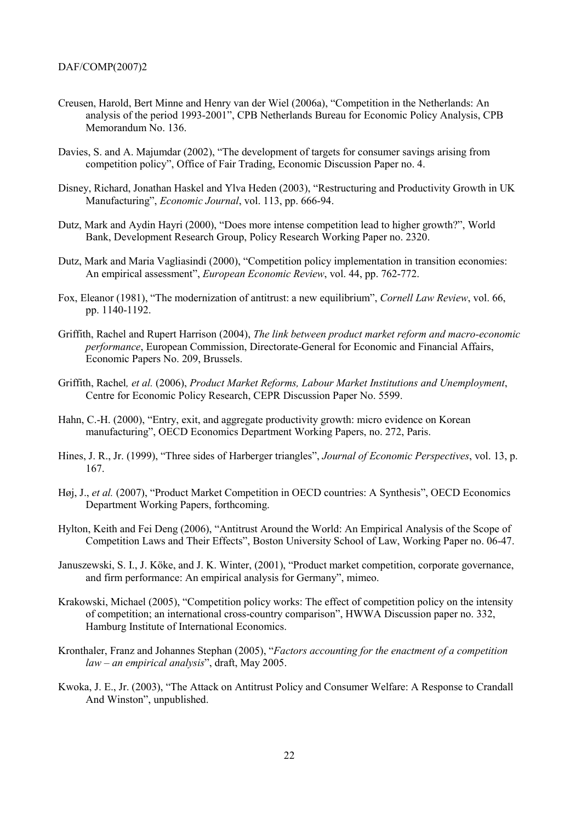- Creusen, Harold, Bert Minne and Henry van der Wiel (2006a), "Competition in the Netherlands: An analysis of the period 1993-2001", CPB Netherlands Bureau for Economic Policy Analysis, CPB Memorandum No. 136.
- Davies, S. and A. Majumdar (2002), "The development of targets for consumer savings arising from competition policy", Office of Fair Trading, Economic Discussion Paper no. 4.
- Disney, Richard, Jonathan Haskel and Ylva Heden (2003), "Restructuring and Productivity Growth in UK Manufacturing", *Economic Journal*, vol. 113, pp. 666-94.
- Dutz, Mark and Aydin Hayri (2000), "Does more intense competition lead to higher growth?", World Bank, Development Research Group, Policy Research Working Paper no. 2320.
- Dutz, Mark and Maria Vagliasindi (2000), "Competition policy implementation in transition economies: An empirical assessment". European Economic Review, vol. 44, pp. 762-772.
- Fox, Eleanor (1981), "The modernization of antitrust: a new equilibrium", Cornell Law Review, vol. 66, pp. 1140-1192.
- Griffith, Rachel and Rupert Harrison (2004), The link between product market reform and macro-economic performance, European Commission, Directorate-General for Economic and Financial Affairs, Economic Papers No. 209, Brussels.
- Griffith, Rachel, et al. (2006), Product Market Reforms, Labour Market Institutions and Unemployment, Centre for Economic Policy Research, CEPR Discussion Paper No. 5599.
- Hahn, C.-H. (2000), "Entry, exit, and aggregate productivity growth: micro evidence on Korean manufacturing", OECD Economics Department Working Papers, no. 272, Paris.
- Hines, J. R., Jr. (1999), "Three sides of Harberger triangles", Journal of Economic Perspectives, vol. 13, p. 167.
- Høj, J., et al. (2007), "Product Market Competition in OECD countries: A Synthesis", OECD Economics Department Working Papers, forthcoming.
- Hylton, Keith and Fei Deng (2006), "Antitrust Around the World: An Empirical Analysis of the Scope of Competition Laws and Their Effects". Boston University School of Law, Working Paper no. 06-47.
- Januszewski, S. I., J. Köke, and J. K. Winter, (2001), "Product market competition, corporate governance, and firm performance: An empirical analysis for Germany", mimeo.
- Krakowski, Michael (2005), "Competition policy works: The effect of competition policy on the intensity of competition; an international cross-country comparison", HWWA Discussion paper no. 332, Hamburg Institute of International Economics.
- Kronthaler, Franz and Johannes Stephan (2005), "Factors accounting for the enactment of a competition  $law - an empirical$  analysis", draft, May 2005.
- Kwoka, J. E., Jr. (2003), "The Attack on Antitrust Policy and Consumer Welfare: A Response to Crandall And Winston", unpublished.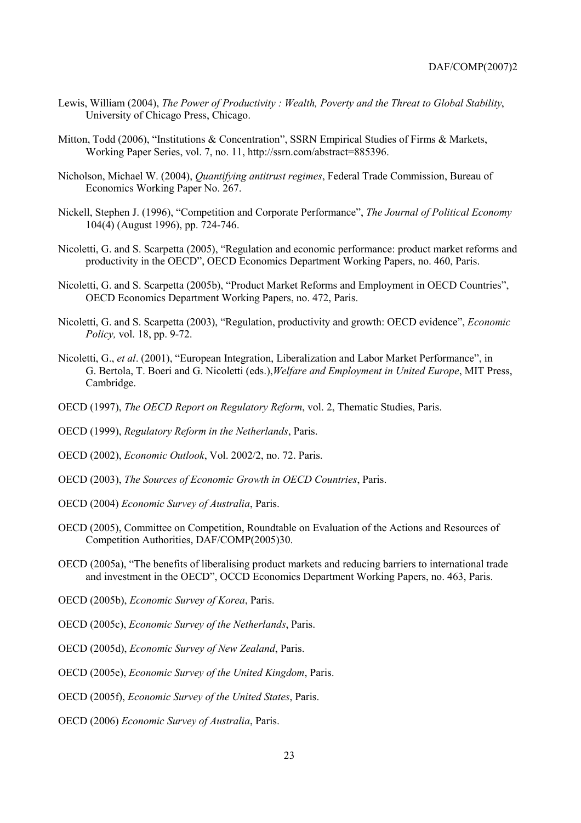- Lewis, William (2004), The Power of Productivity: Wealth, Poverty and the Threat to Global Stability, University of Chicago Press, Chicago.
- Mitton, Todd (2006), "Institutions & Concentration", SSRN Empirical Studies of Firms & Markets, Working Paper Series, vol. 7, no. 11, http://ssrn.com/abstract=885396.
- Nicholson, Michael W. (2004), Quantifying antitrust regimes, Federal Trade Commission, Bureau of Economics Working Paper No. 267.
- Nickell, Stephen J. (1996), "Competition and Corporate Performance", The Journal of Political Economy 104(4) (August 1996), pp. 724-746.
- Nicoletti, G. and S. Scarpetta (2005), "Regulation and economic performance: product market reforms and productivity in the OECD", OECD Economics Department Working Papers, no. 460, Paris.
- Nicoletti, G. and S. Scarpetta (2005b), "Product Market Reforms and Employment in OECD Countries", OECD Economics Department Working Papers, no. 472, Paris.
- Nicoletti, G. and S. Scarpetta (2003), "Regulation, productivity and growth: OECD evidence", *Economic* Policy, vol. 18, pp. 9-72.
- Nicoletti, G., et al. (2001), "European Integration, Liberalization and Labor Market Performance", in G. Bertola, T. Boeri and G. Nicoletti (eds.), Welfare and Employment in United Europe, MIT Press, Cambridge.
- OECD (1997), The OECD Report on Regulatory Reform, vol. 2, Thematic Studies, Paris.
- OECD (1999), Regulatory Reform in the Netherlands, Paris.
- OECD (2002), *Economic Outlook*, Vol. 2002/2, no. 72. Paris.
- OECD (2003), The Sources of Economic Growth in OECD Countries, Paris.
- OECD (2004) Economic Survey of Australia, Paris.
- OECD (2005), Committee on Competition, Roundtable on Evaluation of the Actions and Resources of Competition Authorities, DAF/COMP(2005)30.
- OECD (2005a), "The benefits of liberalising product markets and reducing barriers to international trade and investment in the OECD". OCCD Economics Department Working Papers, no. 463, Paris.
- OECD (2005b), Economic Survey of Korea, Paris.
- OECD (2005c), Economic Survey of the Netherlands, Paris.
- OECD (2005d), Economic Survey of New Zealand, Paris.
- OECD (2005e), Economic Survey of the United Kingdom, Paris.
- OECD (2005f), Economic Survey of the United States, Paris.
- OECD (2006) Economic Survey of Australia, Paris.